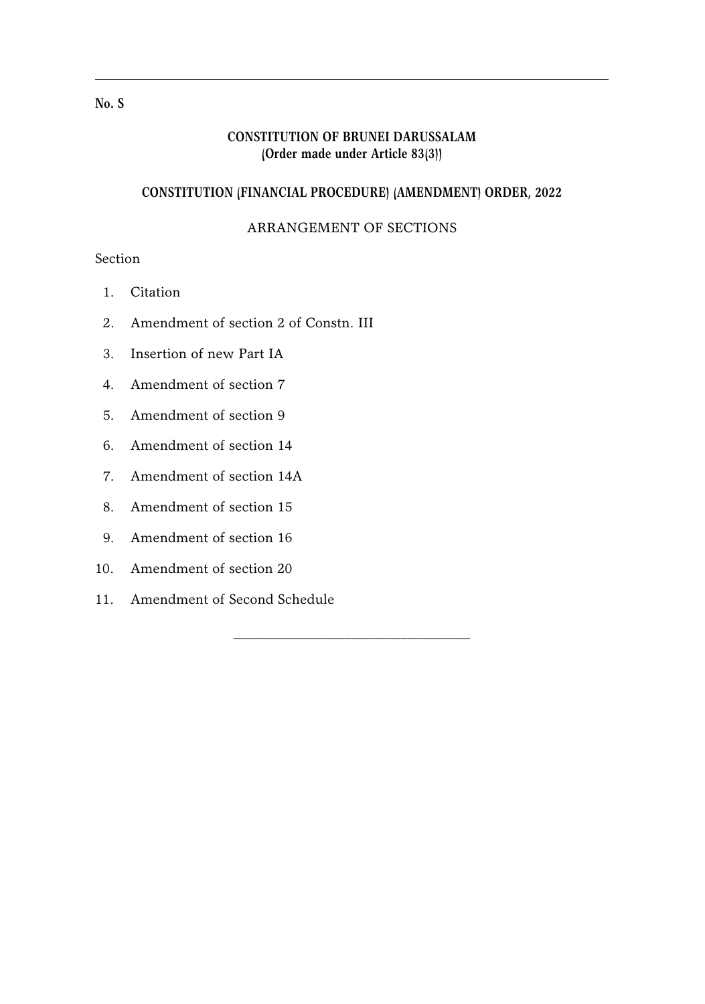## **CONSTITUTION OF BRUNEI DARUSSALAM (Order made under Article 83(3))**

## **CONSTITUTION (FINANCIAL PROCEDURE) (AMENDMENT) ORDER, 2022**

## ARRANGEMENT OF SECTIONS

\_\_\_\_\_\_\_\_\_\_\_\_\_\_\_\_\_\_\_\_\_\_\_\_\_\_\_\_\_\_\_\_\_\_

# Section

- 1. Citation
- 2. Amendment of section 2 of Constn. III
- 3. Insertion of new Part IA
- 4. Amendment of section 7
- 5. Amendment of section 9
- 6. Amendment of section 14
- 7. Amendment of section 14A
- 8. Amendment of section 15
- 9. Amendment of section 16
- 10. Amendment of section 20
- 11. Amendment of Second Schedule

#### **No. S**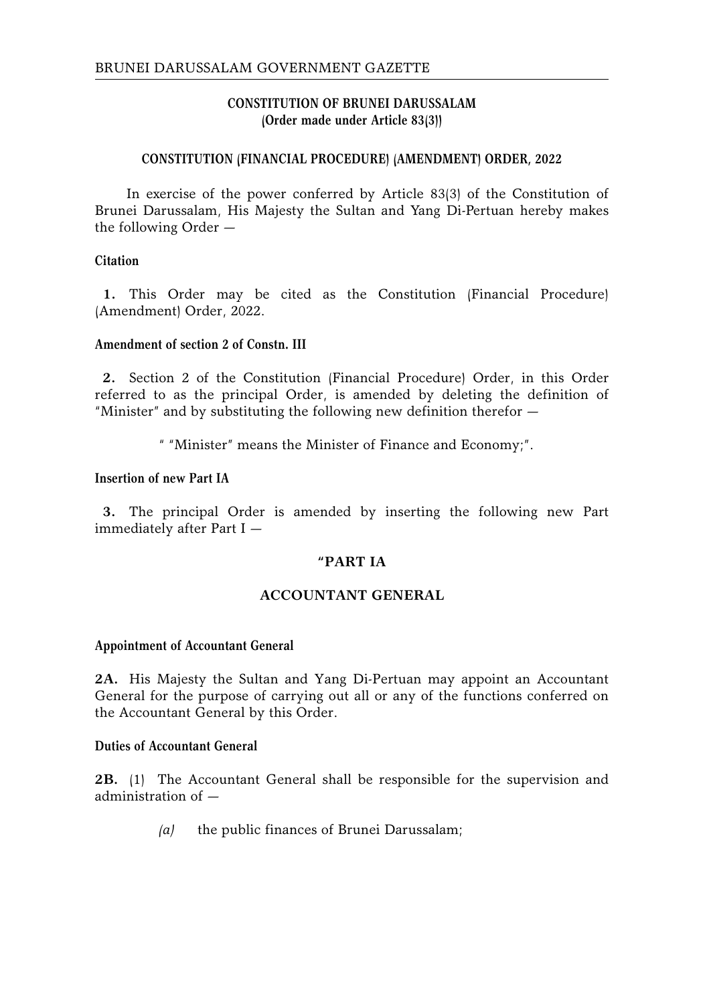## **CONSTITUTION OF BRUNEI DARUSSALAM (Order made under Article 83(3))**

## **CONSTITUTION (FINANCIAL PROCEDURE) (AMENDMENT) ORDER, 2022**

In exercise of the power conferred by Article 83(3) of the Constitution of Brunei Darussalam, His Majesty the Sultan and Yang Di-Pertuan hereby makes the following Order —

## **Citation**

**1.** This Order may be cited as the Constitution (Financial Procedure) (Amendment) Order, 2022.

## **Amendment of section 2 of Constn. III**

**2.** Section 2 of the Constitution (Financial Procedure) Order, in this Order referred to as the principal Order, is amended by deleting the definition of "Minister" and by substituting the following new definition therefor —

" "Minister" means the Minister of Finance and Economy;".

## **Insertion of new Part IA**

**3.** The principal Order is amended by inserting the following new Part immediately after Part I —

## **"PART IA**

## **ACCOUNTANT GENERAL**

#### **Appointment of Accountant General**

**2A.** His Majesty the Sultan and Yang Di-Pertuan may appoint an Accountant General for the purpose of carrying out all or any of the functions conferred on the Accountant General by this Order.

#### **Duties of Accountant General**

**2B.** (1) The Accountant General shall be responsible for the supervision and administration of —

*(a)* the public finances of Brunei Darussalam;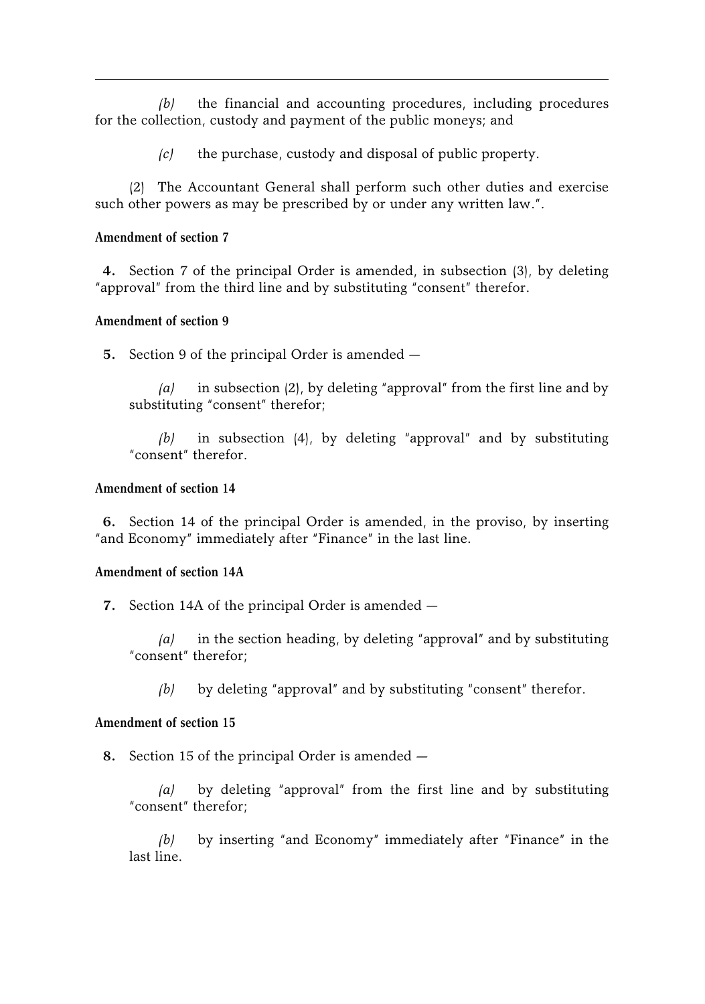*(b)* the financial and accounting procedures, including procedures for the collection, custody and payment of the public moneys; and

*(c)* the purchase, custody and disposal of public property.

(2) The Accountant General shall perform such other duties and exercise such other powers as may be prescribed by or under any written law.".

## **Amendment of section 7**

**4.** Section 7 of the principal Order is amended, in subsection (3), by deleting "approval" from the third line and by substituting "consent" therefor.

## **Amendment of section 9**

**5.** Section 9 of the principal Order is amended —

*(a)* in subsection (2), by deleting "approval" from the first line and by substituting "consent" therefor;

*(b)* in subsection (4), by deleting "approval" and by substituting "consent" therefor.

## **Amendment of section 14**

**6.** Section 14 of the principal Order is amended, in the proviso, by inserting "and Economy" immediately after "Finance" in the last line.

## **Amendment of section 14A**

**7.** Section 14A of the principal Order is amended —

*(a)* in the section heading, by deleting "approval" and by substituting "consent" therefor;

*(b)* by deleting "approval" and by substituting "consent" therefor.

## **Amendment of section 15**

**8.** Section 15 of the principal Order is amended —

*(a)* by deleting "approval" from the first line and by substituting "consent" therefor;

*(b)* by inserting "and Economy" immediately after "Finance" in the last line.